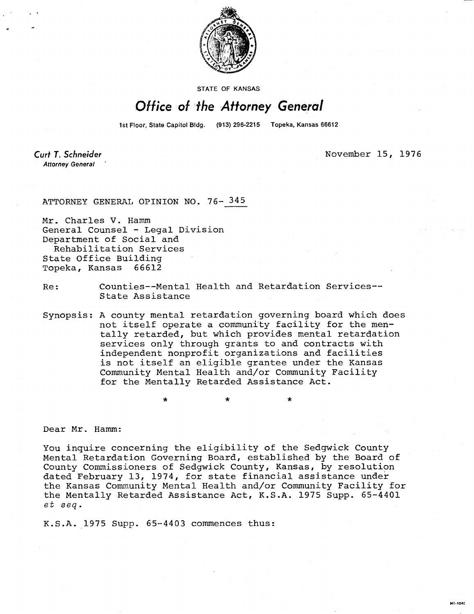

**STATE OF KANSAS** 

## Office of the Attorney General

1st Floor, State Capitol Bldg. (913) 296-2215 Topeka, Kansas 66612

Curt T. Schneider **Attorney General** 

November 15, 1976

MI-1042

## ATTORNEY GENERAL OPINION NO. 76- 345

Mr. Charles V. Hamm General Counsel - Legal Division Department of Social and Rehabilitation Services State Office Building Topeka, Kansas 66612

Re: Counties--Mental Health and Retardation Services-- State Assistance

Synopsis: A county mental retardation governing board which does not itself operate a community facility for the mentally retarded, but which provides mental retardation services only through grants to and contracts with independent nonprofit organizations and facilities is not itself an eligible grantee under the Kansas Community Mental Health and/or Community Facility for the Mentally Retarded Assistance Act.

Dear Mr. Hamm:

You inquire concerning the eligibility of the Sedgwick County Mental Retardation Governing Board, established by the Board of County Commissioners of Sedgwick County, Kansas, by resolution dated February 13, 1974, for state financial assistance under the Kansas Community Mental Health and/or Community Facility for the Mentally Retarded Assistance Act, K.S.A. 1975 Supp. 65-4401 et seq.

K.S.A. 1975 Supp. 65-4403 commences thus: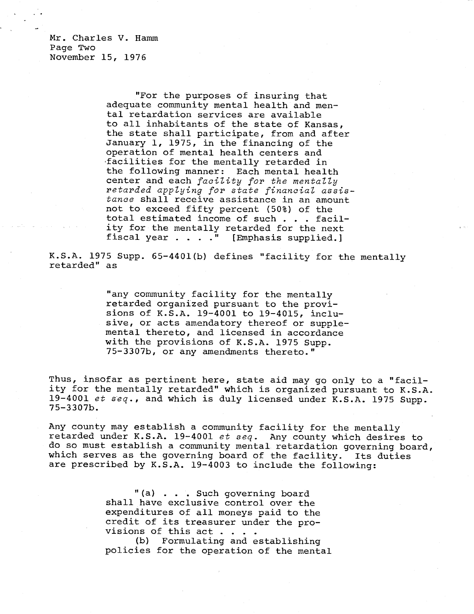Mr. Charles V. Hamm Page Two November 15, 1976

> "For the purposes of insuring that adequate community mental health and mental retardation services are available to all inhabitants of the state of Kansas, the state shall participate, from and after January 1, 1975, in the financing of the operation of mental health centers and facilities for the mentally retarded in the following manner: Each mental health center and each facility for the mentally retarded applying for state financial assistance shall receive assistance in an amount not to exceed fifty percent (50%) of the total estimated income of such . . . facility for the mentally retarded for the next fiscal year . . . ." [Emphasis supplied.]

K.S.A. 1975 Supp. 65-4401(b) defines "facility for the mentally retarded" as

> "any community facility for the mentally retarded organized pursuant to the provisions of K.S.A. 19-4001 to 19-4015, inclusive, or acts amendatory thereof or supplemental thereto, and licensed in accordance with the provisions of K.S.A. 1975 Supp. 75-3307b, or any amendments thereto."

Thus, insofar as pertinent here, state aid may go only to a "facility for the mentally retarded" which is organized pursuant to K.S.A. 19-4001 et seq., and which is duly licensed under K.S.A. 1975 Supp. 75-3307b.

Any county may establish a community facility for the mentally retarded under K.S.A. 19-4001 et seq. Any county which desires to do so must establish a community mental retardation governing board, which serves as the governing board of the facility. Its duties are prescribed by K.S.A. 19-4003 to include the following:

> "(a) . . . Such governing board shall have exclusive control over the expenditures of all moneys paid to the credit of its treasurer under the provisions of this act..

(b) Formulating and establishing policies for the operation of the mental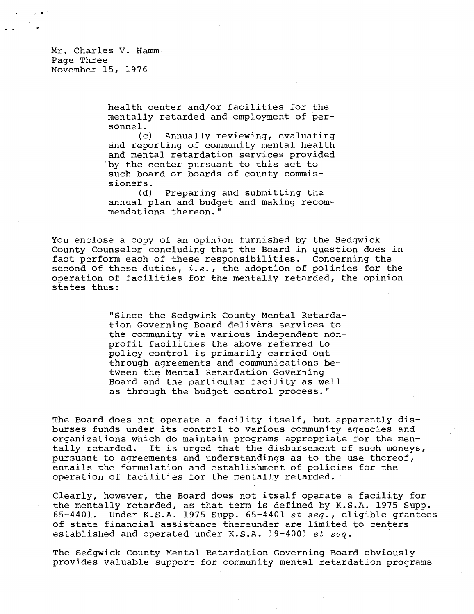Mr. Charles V. Hamm Page Three November 15, 1976

> health center and/or facilities for the mentally retarded and employment of personnel.

> (c) Annually reviewing, evaluating and reporting of community mental health and mental retardation services provided by the center pursuant to this act to such board or boards of county commissioners.

> (d) Preparing and submitting the annual plan and budget and making recommendations thereon."

You enclose a copy of an opinion furnished by the Sedgwick County Counselor concluding that the Board in question does in fact perform each of these responsibilities. Concerning the second of these duties,  $i.e.,$  the adoption of policies for the operation of facilities for the mentally retarded, the opinion states thus:

> "Since the Sedgwick County Mental Retardation Governing Board delivers services to the community via various independent nonprofit facilities the above referred to policy control is primarily carried out through agreements and communications between the Mental Retardation Governing Board and the particular facility as well as through the budget control process."

The Board does not operate a facility itself, but apparently disburses funds under its control to various community agencies and organizations which do maintain programs appropriate for the mentally retarded. It is urged that the disbursement of such moneys, pursuant to agreements and understandings as to the use thereof, entails the formulation and establishment of policies for the operation of facilities for the mentally retarded.

Clearly, however, the Board does not itself operate a facility for the mentally retarded, as that term is defined by K.S.A. 1975 Supp. 65-4401. Under K.S.A. 1975 Supp. 65-4401 et seq., eligible grantees of state financial assistance thereunder are limited to centers established and operated under K.S.A. 19-4001 et seq.

The Sedgwick County Mental Retardation Governing Board obviously provides valuable support for community mental retardation programs